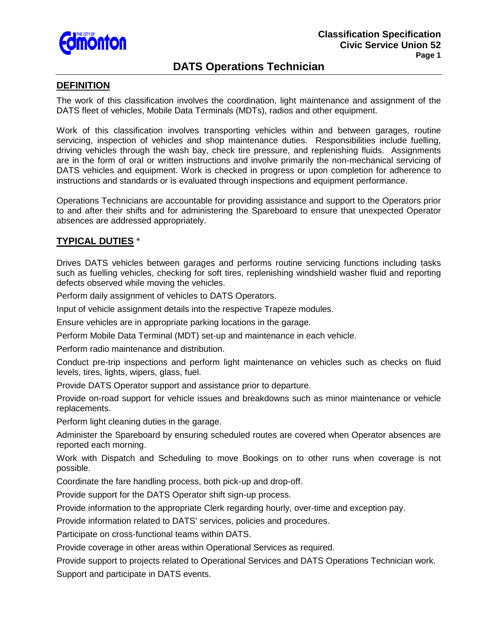

# **DATS Operations Technician**

#### **DEFINITION**

The work of this classification involves the coordination, light maintenance and assignment of the DATS fleet of vehicles, Mobile Data Terminals (MDTs), radios and other equipment.

Work of this classification involves transporting vehicles within and between garages, routine servicing, inspection of vehicles and shop maintenance duties. Responsibilities include fuelling, driving vehicles through the wash bay, check tire pressure, and replenishing fluids. Assignments are in the form of oral or written instructions and involve primarily the non-mechanical servicing of DATS vehicles and equipment. Work is checked in progress or upon completion for adherence to instructions and standards or is evaluated through inspections and equipment performance.

Operations Technicians are accountable for providing assistance and support to the Operators prior to and after their shifts and for administering the Spareboard to ensure that unexpected Operator absences are addressed appropriately.

### **TYPICAL DUTIES** \*

Drives DATS vehicles between garages and performs routine servicing functions including tasks such as fuelling vehicles, checking for soft tires, replenishing windshield washer fluid and reporting defects observed while moving the vehicles.

Perform daily assignment of vehicles to DATS Operators.

Input of vehicle assignment details into the respective Trapeze modules.

Ensure vehicles are in appropriate parking locations in the garage.

Perform Mobile Data Terminal (MDT) set-up and maintenance in each vehicle.

Perform radio maintenance and distribution.

Conduct pre-trip inspections and perform light maintenance on vehicles such as checks on fluid levels, tires, lights, wipers, glass, fuel.

Provide DATS Operator support and assistance prior to departure.

Provide on-road support for vehicle issues and breakdowns such as minor maintenance or vehicle replacements.

Perform light cleaning duties in the garage.

Administer the Spareboard by ensuring scheduled routes are covered when Operator absences are reported each morning.

Work with Dispatch and Scheduling to move Bookings on to other runs when coverage is not possible.

Coordinate the fare handling process, both pick-up and drop-off.

Provide support for the DATS Operator shift sign-up process.

Provide information to the appropriate Clerk regarding hourly, over-time and exception pay.

Provide information related to DATS' services, policies and procedures.

Participate on cross-functional teams within DATS.

Provide coverage in other areas within Operational Services as required.

Provide support to projects related to Operational Services and DATS Operations Technician work. Support and participate in DATS events.